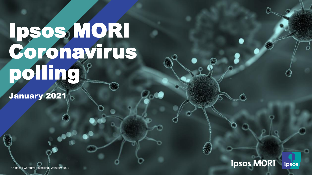## Ipsos, MORI Coronavirus polling

January 2021

**Ipsos MORI** Ipsos

© Ipsos | Coronavirus polling | January 2021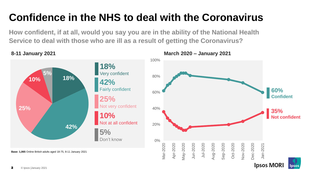## **Confidence in the NHS to deal with the Coronavirus**

**How confident, if at all, would you say you are in the ability of the National Health Service to deal with those who are ill as a result of getting the Coronavirus?**





**Ipsos MORI** 

**psos**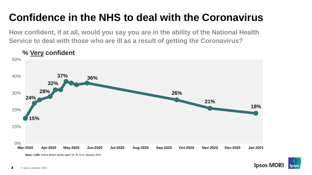### **Confidence in the NHS to deal with the Coronavirus**

**How confident, if at all, would you say you are in the ability of the National Health Service to deal with those who are ill as a result of getting the Coronavirus?**





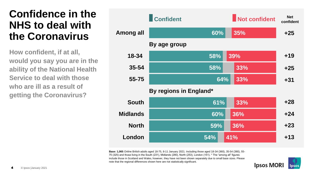#### **Confidence in the NHS to deal with the Coronavirus**

**How confident, if at all, would you say you are in the ability of the National Health Service to deal with those who are ill as a result of getting the Coronavirus?**



**Base: 1,065** Online British adults aged 18-75, 8-11 January 2021. Including those aged 18-34 (360), 35-54 (380), 55- 75 (325) and those living in the South (231), Midlands (280), North (253), London (151). \* The "among all" figures include those in Scotland and Wales, however, they have not been shown separately due to small base sizes. Please note that the regional differences shown here are not statistically significant.